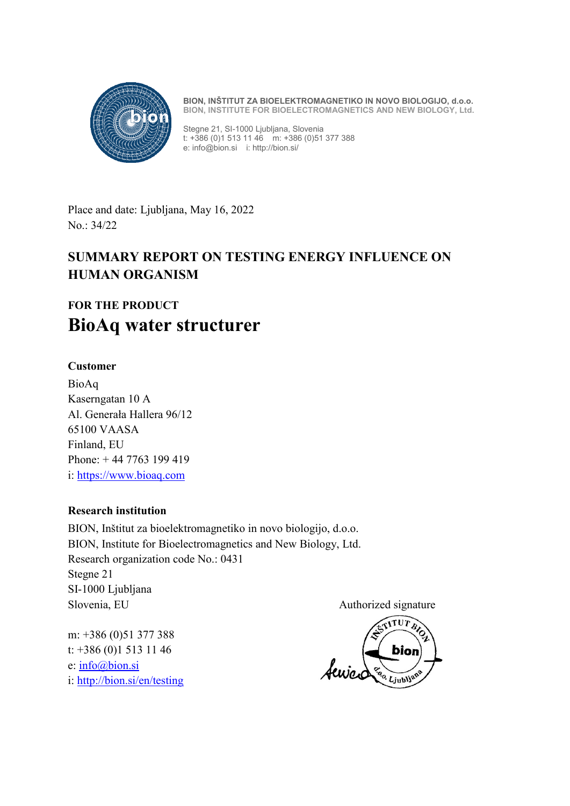

**BION, INŠTITUT ZA BIOELEKTROMAGNETIKO IN NOVO BIOLOGIJO, d.o.o. BION, INSTITUTE FOR BIOELECTROMAGNETICS AND NEW BIOLOGY, Ltd.**

Stegne 21, SI-1000 Ljubljana, Slovenia t: +386 (0)1 513 11 46 m: +386 (0)51 377 388 e: info@bion.si i: http://bion.si/

Place and date: Ljubljana, May 16, 2022 No.: 34/22

# **SUMMARY REPORT ON TESTING ENERGY INFLUENCE ON HUMAN ORGANISM**

# **FOR THE PRODUCT BioAq water structurer**

# **Customer**

BioAq Kaserngatan 10 A Al. Generała Hallera 96/12 65100 VAASA Finland, EU Phone: + 44 7763 199 419 i: [https://www.bioaq.com](https://www.bioaq.fi/)

### **Research institution**

BION, Inštitut za bioelektromagnetiko in novo biologijo, d.o.o. BION, Institute for Bioelectromagnetics and New Biology, Ltd. Research organization code No.: 0431 Stegne 21 SI-1000 Ljubljana Slovenia, EU Authorized signature

m: +386 (0)51 377 388 t: +386 (0)1 513 11 46 e: [info@bion.si](mailto:info@bion.si) i: [http://bion.si/en/testing](http://bion.si/en/testing/)

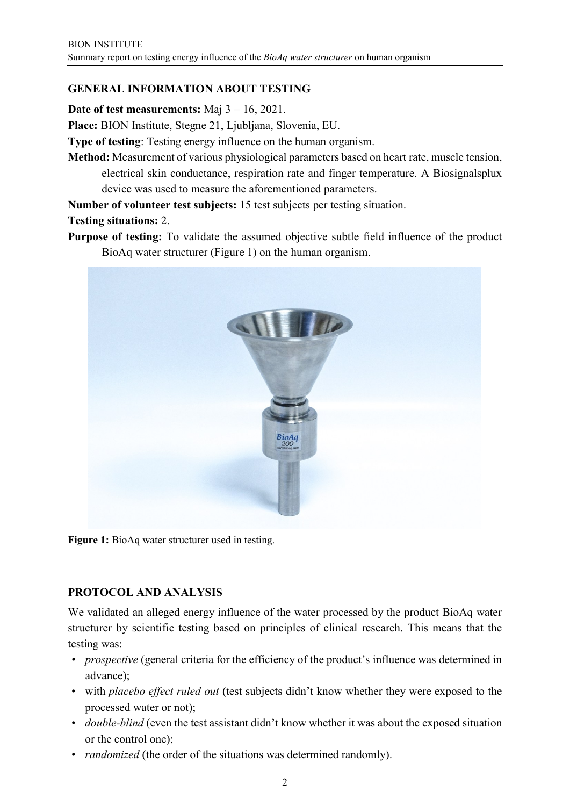# **GENERAL INFORMATION ABOUT TESTING**

**Date of test measurements:**  $\text{Maj } 3 - 16$ , 2021.

**Place:** BION Institute, Stegne 21, Ljubljana, Slovenia, EU.

**Type of testing**: Testing energy influence on the human organism.

**Method:** Measurement of various physiological parameters based on heart rate, muscle tension, electrical skin conductance, respiration rate and finger temperature. A Biosignalsplux device was used to measure the aforementioned parameters.

**Number of volunteer test subjects:** 15 test subjects per testing situation.

#### **Testing situations:** 2.

**Purpose of testing:** To validate the assumed objective subtle field influence of the product BioAq water structurer (Figure 1) on the human organism.



**Figure 1:** BioAq water structurer used in testing.

### **PROTOCOL AND ANALYSIS**

We validated an alleged energy influence of the water processed by the product BioAq water structurer by scientific testing based on principles of clinical research. This means that the testing was:

- *prospective* (general criteria for the efficiency of the product's influence was determined in advance);
- with *placebo effect ruled out* (test subjects didn't know whether they were exposed to the processed water or not);
- *double-blind* (even the test assistant didn't know whether it was about the exposed situation or the control one);
- *randomized* (the order of the situations was determined randomly).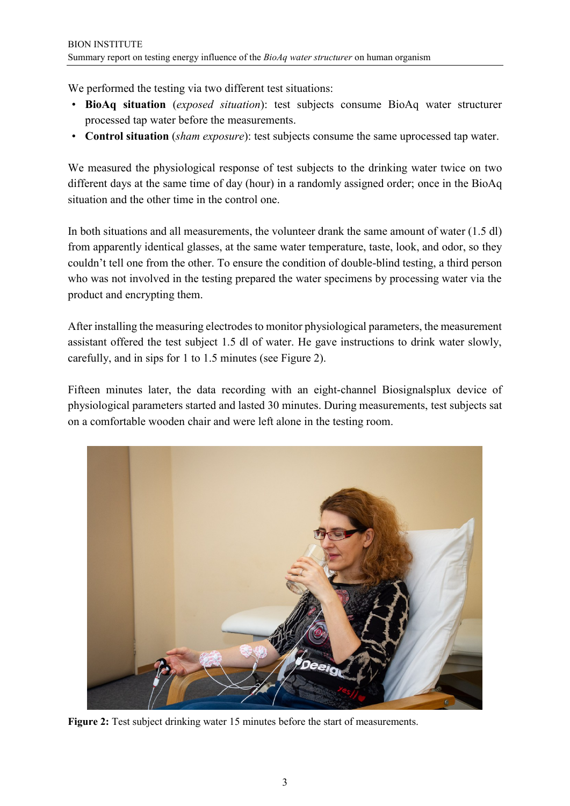We performed the testing via two different test situations:

- **BioAq situation** (*exposed situation*): test subjects consume BioAq water structurer processed tap water before the measurements.
- **Control situation** (*sham exposure*): test subjects consume the same uprocessed tap water.

We measured the physiological response of test subjects to the drinking water twice on two different days at the same time of day (hour) in a randomly assigned order; once in the BioAq situation and the other time in the control one.

In both situations and all measurements, the volunteer drank the same amount of water (1.5 dl) from apparently identical glasses, at the same water temperature, taste, look, and odor, so they couldn't tell one from the other. To ensure the condition of double-blind testing, a third person who was not involved in the testing prepared the water specimens by processing water via the product and encrypting them.

After installing the measuring electrodes to monitor physiological parameters, the measurement assistant offered the test subject 1.5 dl of water. He gave instructions to drink water slowly, carefully, and in sips for 1 to 1.5 minutes (see Figure 2).

Fifteen minutes later, the data recording with an eight-channel Biosignalsplux device of physiological parameters started and lasted 30 minutes. During measurements, test subjects sat on a comfortable wooden chair and were left alone in the testing room.



**Figure 2:** Test subject drinking water 15 minutes before the start of measurements.